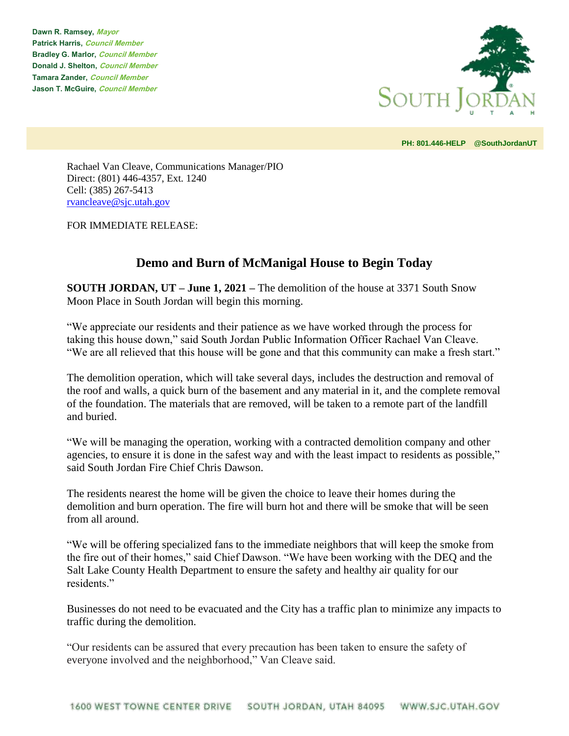**Dawn R. Ramsey, Mayor Patrick Harris, Council Member Bradley G. Marlor, Council Member Donald J. Shelton, Council Member Tamara Zander, Council Member Jason T. McGuire, Council Member**



**PH: 801.446-HELP @SouthJordanUT** 

Rachael Van Cleave, Communications Manager/PIO Direct: (801) 446-4357, Ext. 1240 Cell: (385) 267-5413 [rvancleave@sjc.utah.gov](mailto:rvancleave@sjc.utah.gov)

FOR IMMEDIATE RELEASE:

## **Demo and Burn of McManigal House to Begin Today**

**SOUTH JORDAN, UT – June 1, 2021 –** The demolition of the house at 3371 South Snow Moon Place in South Jordan will begin this morning.

"We appreciate our residents and their patience as we have worked through the process for taking this house down," said South Jordan Public Information Officer Rachael Van Cleave. "We are all relieved that this house will be gone and that this community can make a fresh start."

The demolition operation, which will take several days, includes the destruction and removal of the roof and walls, a quick burn of the basement and any material in it, and the complete removal of the foundation. The materials that are removed, will be taken to a remote part of the landfill and buried.

"We will be managing the operation, working with a contracted demolition company and other agencies, to ensure it is done in the safest way and with the least impact to residents as possible," said South Jordan Fire Chief Chris Dawson.

The residents nearest the home will be given the choice to leave their homes during the demolition and burn operation. The fire will burn hot and there will be smoke that will be seen from all around.

"We will be offering specialized fans to the immediate neighbors that will keep the smoke from the fire out of their homes," said Chief Dawson. "We have been working with the DEQ and the Salt Lake County Health Department to ensure the safety and healthy air quality for our residents."

Businesses do not need to be evacuated and the City has a traffic plan to minimize any impacts to traffic during the demolition.

"Our residents can be assured that every precaution has been taken to ensure the safety of everyone involved and the neighborhood," Van Cleave said.